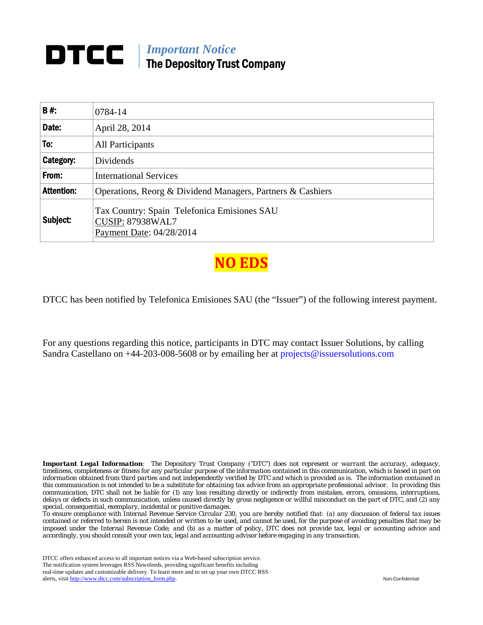# *Important Notice*  The Depository Trust Company

| B#:               | 0784-14                                                                                            |
|-------------------|----------------------------------------------------------------------------------------------------|
| Date:             | April 28, 2014                                                                                     |
| To:               | <b>All Participants</b>                                                                            |
| Category:         | <b>Dividends</b>                                                                                   |
| From:             | <b>International Services</b>                                                                      |
| <b>Attention:</b> | Operations, Reorg & Dividend Managers, Partners & Cashiers                                         |
| Subject:          | Tax Country: Spain Telefonica Emisiones SAU<br><b>CUSIP: 87938WAL7</b><br>Payment Date: 04/28/2014 |

**NO ED** 

DTCC has been notified by Telefonica Emisiones SAU (the "Issuer") of the following interest payment.

For any questions regarding this notice, participants in DTC may contact Issuer Solutions, by calling Sandra Castellano on  $+44-203-008-5608$  or by emailing her at projects@issuersolutions.com

*Important Legal Information: The Depository Trust Company ("DTC") does not represent or warrant the accuracy, adequacy, timeliness, completeness or fitness for any particular purpose of the information contained in this communication, which is based in part on information obtained from third parties and not independently verified by DTC and which is provided as is. The information contained in this communication is not intended to be a substitute for obtaining tax advice from an appropriate professional advisor. In providing this communication, DTC shall not be liable for (1) any loss resulting directly or indirectly from mistakes, errors, omissions, interruptions, delays or defects in such communication, unless caused directly by gross negligence or willful misconduct on the part of DTC, and (2) any special, consequential, exemplary, incidental or punitive damages.* 

*To ensure compliance with Internal Revenue Service Circular 230, you are hereby notified that: (a) any discussion of federal tax issues contained or referred to herein is not intended or written to be used, and cannot be used, for the purpose of avoiding penalties that may be imposed under the Internal Revenue Code; and (b) as a matter of policy, DTC does not provide tax, legal or accounting advice and accordingly, you should consult your own tax, legal and accounting advisor before engaging in any transaction.*

DTCC offers enhanced access to all important notices via a Web-based subscription service. The notification system leverages RSS Newsfeeds, providing significant benefits including real-time updates and customizable delivery. To learn more and to set up your own DTCC RSS alerts, visit http://www.dtcc.com/subscription\_form.php. Non-Confidential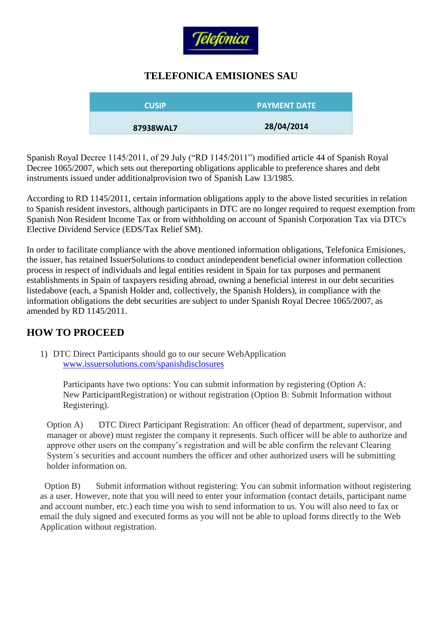

#### **TELEFONICA EMISIONES SAU**

| <b>CUSIP</b> | <b>PAYMENT DATE</b> |
|--------------|---------------------|
| 87938WAL7    | 28/04/2014          |

Spanish Royal Decree 1145/2011, of 29 July ("RD 1145/2011") modified article 44 of Spanish Royal Decree 1065/2007, which sets out thereporting obligations applicable to preference shares and debt instruments issued under additionalprovision two of Spanish Law 13/1985.

According to RD 1145/2011, certain information obligations apply to the above listed securities in relation to Spanish resident investors, although participants in DTC are no longer required to request exemption from Spanish Non Resident Income Tax or from withholding on account of Spanish Corporation Tax via DTC's Elective Dividend Service (EDS/Tax Relief SM).

In order to facilitate compliance with the above mentioned information obligations, Telefonica Emisiones, the issuer, has retained IssuerSolutions to conduct anindependent beneficial owner information collection process in respect of individuals and legal entities resident in Spain for tax purposes and permanent establishments in Spain of taxpayers residing abroad, owning a beneficial interest in our debt securities listedabove (each, a Spanish Holder and, collectively, the Spanish Holders), in compliance with the information obligations the debt securities are subject to under Spanish Royal Decree 1065/2007, as amended by RD 1145/2011.

## **HOW TO PROCEED**

1) DTC Direct Participants should go to our secure WebApplication [www.issuersolutions.com/spanishdisclosures](http://www.issuersolutions.com/spanishdisclosures)

Participants have two options: You can submit information by registering (Option A: New ParticipantRegistration) or without registration (Option B: Submit Information without Registering).

Option A) DTC Direct Participant Registration: An officer (head of department, supervisor, and manager or above) must register the company it represents. Such officer will be able to authorize and approve other users on the company's registration and will be able confirm the relevant Clearing System´s securities and account numbers the officer and other authorized users will be submitting holder information on.

Option B) Submit information without registering: You can submit information without registering as a user. However, note that you will need to enter your information (contact details, participant name and account number, etc.) each time you wish to send information to us. You will also need to fax or email the duly signed and executed forms as you will not be able to upload forms directly to the Web Application without registration.